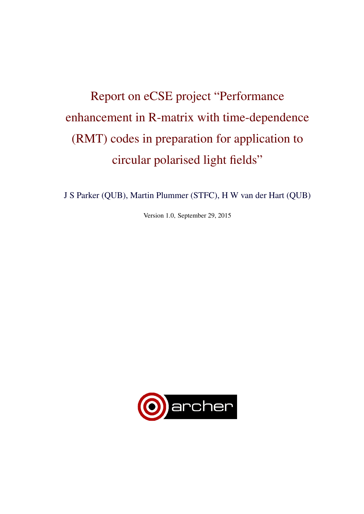# Report on eCSE project "Performance enhancement in R-matrix with time-dependence (RMT) codes in preparation for application to circular polarised light fields"

J S Parker (QUB), Martin Plummer (STFC), H W van der Hart (QUB)

Version 1.0, September 29, 2015

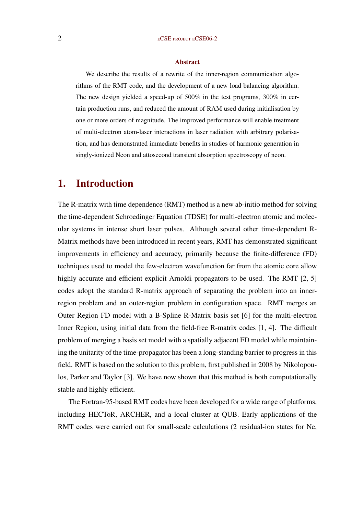#### Abstract

We describe the results of a rewrite of the inner-region communication algorithms of the RMT code, and the development of a new load balancing algorithm. The new design yielded a speed-up of  $500\%$  in the test programs,  $300\%$  in certain production runs, and reduced the amount of RAM used during initialisation by one or more orders of magnitude. The improved performance will enable treatment of multi-electron atom-laser interactions in laser radiation with arbitrary polarisation, and has demonstrated immediate benefits in studies of harmonic generation in singly-ionized Neon and attosecond transient absorption spectroscopy of neon.

### 1. Introduction

The R-matrix with time dependence (RMT) method is a new ab-initio method for solving the time-dependent Schroedinger Equation (TDSE) for multi-electron atomic and molecular systems in intense short laser pulses. Although several other time-dependent R-Matrix methods have been introduced in recent years, RMT has demonstrated significant improvements in efficiency and accuracy, primarily because the finite-difference (FD) techniques used to model the few-electron wavefunction far from the atomic core allow highly accurate and efficient explicit Arnoldi propagators to be used. The RMT [\[2,](#page-10-0) [5\]](#page-10-0) codes adopt the standard R-matrix approach of separating the problem into an innerregion problem and an outer-region problem in configuration space. RMT merges an Outer Region FD model with a B-Spline R-Matrix basis set [\[6\]](#page-10-0) for the multi-electron Inner Region, using initial data from the field-free R-matrix codes [\[1,](#page-10-0) [4\]](#page-10-0). The difficult problem of merging a basis set model with a spatially adjacent FD model while maintaining the unitarity of the time-propagator has been a long-standing barrier to progress in this field. RMT is based on the solution to this problem, first published in 2008 by Nikolopoulos, Parker and Taylor [\[3\]](#page-10-0). We have now shown that this method is both computationally stable and highly efficient.

The Fortran-95-based RMT codes have been developed for a wide range of platforms, including HECToR, ARCHER, and a local cluster at QUB. Early applications of the RMT codes were carried out for small-scale calculations (2 residual-ion states for Ne,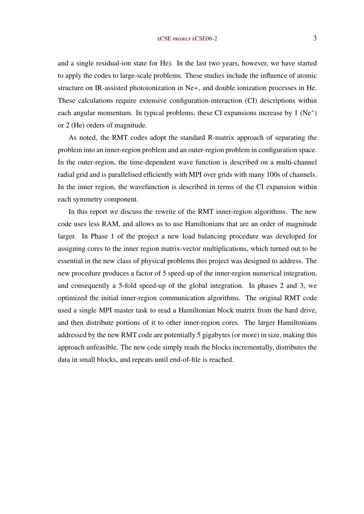and a single residual-ion state for He). In the last two years, however, we have started to apply the codes to large-scale problems. These studies include the influence of atomic structure on IR-assisted photoionization in Ne+, and double ionization processes in He. These calculations require extensive configuration-interaction (CI) descriptions within each angular momentum. In typical problems, these CI expansions increase by 1 (Ne<sup>+</sup>) or 2 (He) orders of magnitude.

As noted, the RMT codes adopt the standard R-matrix approach of separating the problem into an inner-region problem and an outer-region problem in configuration space. In the outer-region, the time-dependent wave function is described on a multi-channel radial grid and is parallelised efficiently with MPI over grids with many 100s of channels. In the inner region, the wavefunction is described in terms of the CI expansion within each symmetry component.

In this report we discuss the rewrite of the RMT inner-region algorithms. The new code uses less RAM, and allows us to use Hamiltonians that are an order of magnitude larger. In Phase 1 of the project a new load balancing procedure was developed for assigning cores to the inner region matrix-vector multiplications, which turned out to be essential in the new class of physical problems this project was designed to address. The new procedure produces a factor of 5 speed-up of the inner-region numerical integration, and consequently a 5-fold speed-up of the global integration. In phases 2 and 3, we optimized the initial inner-region communication algorithms. The original RMT code used a single MPI master task to read a Hamiltonian block matrix from the hard drive, and then distribute portions of it to other inner-region cores. The larger Hamiltonians addressed by the new RMT code are potentially 5 gigabytes (or more) in size, making this approach unfeasible. The new code simply reads the blocks incrementally, distributes the data in small blocks, and repeats until end-of-file is reached.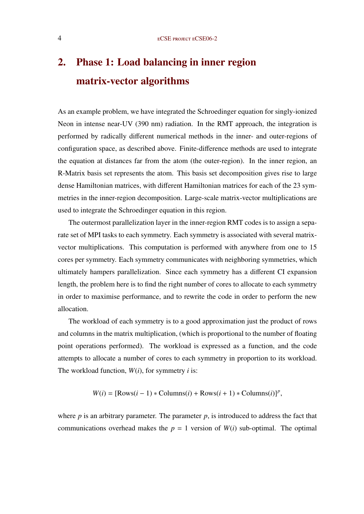## 2. Phase 1: Load balancing in inner region matrix-vector algorithms

As an example problem, we have integrated the Schroedinger equation for singly-ionized Neon in intense near-UV (390 nm) radiation. In the RMT approach, the integration is performed by radically different numerical methods in the inner- and outer-regions of configuration space, as described above. Finite-difference methods are used to integrate the equation at distances far from the atom (the outer-region). In the inner region, an R-Matrix basis set represents the atom. This basis set decomposition gives rise to large dense Hamiltonian matrices, with different Hamiltonian matrices for each of the 23 symmetries in the inner-region decomposition. Large-scale matrix-vector multiplications are used to integrate the Schroedinger equation in this region.

The outermost parallelization layer in the inner-region RMT codes is to assign a separate set of MPI tasks to each symmetry. Each symmetry is associated with several matrixvector multiplications. This computation is performed with anywhere from one to 15 cores per symmetry. Each symmetry communicates with neighboring symmetries, which ultimately hampers parallelization. Since each symmetry has a different CI expansion length, the problem here is to find the right number of cores to allocate to each symmetry in order to maximise performance, and to rewrite the code in order to perform the new allocation.

The workload of each symmetry is to a good approximation just the product of rows and columns in the matrix multiplication, (which is proportional to the number of floating point operations performed). The workload is expressed as a function, and the code attempts to allocate a number of cores to each symmetry in proportion to its workload. The workload function, *W*(*i*), for symmetry *i* is:

$$
W(i) = [\text{Rows}(i-1) * \text{Columns}(i) + \text{Rows}(i+1) * \text{Columns}(i)]^p,
$$

where  $p$  is an arbitrary parameter. The parameter  $p$ , is introduced to address the fact that communications overhead makes the  $p = 1$  version of  $W(i)$  sub-optimal. The optimal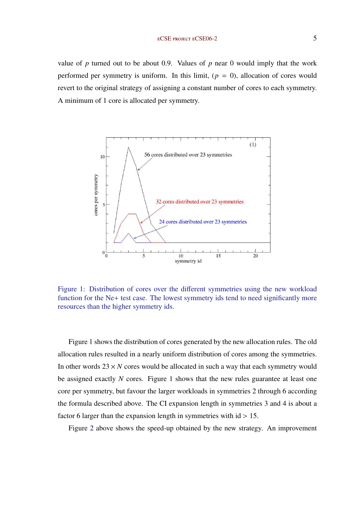value of  $p$  turned out to be about 0.9. Values of  $p$  near 0 would imply that the work performed per symmetry is uniform. In this limit,  $(p = 0)$ , allocation of cores would revert to the original strategy of assigning a constant number of cores to each symmetry. A minimum of 1 core is allocated per symmetry.



Figure 1: Distribution of cores over the different symmetries using the new workload function for the Ne+ test case. The lowest symmetry ids tend to need significantly more resources than the higher symmetry ids.

Figure 1 shows the distribution of cores generated by the new allocation rules. The old allocation rules resulted in a nearly uniform distribution of cores among the symmetries. In other words  $23 \times N$  cores would be allocated in such a way that each symmetry would be assigned exactly *N* cores. Figure 1 shows that the new rules guarantee at least one core per symmetry, but favour the larger workloads in symmetries 2 through 6 according the formula described above. The CI expansion length in symmetries 3 and 4 is about a factor 6 larger than the expansion length in symmetries with  $id > 15$ .

Figure [2](#page-5-0) above shows the speed-up obtained by the new strategy. An improvement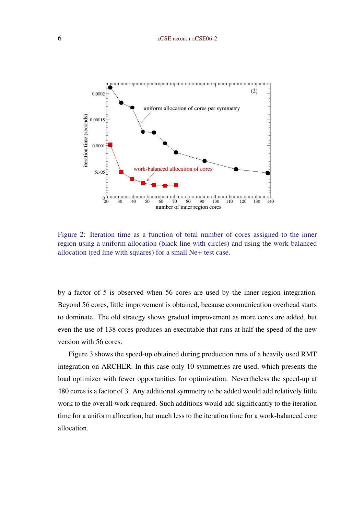<span id="page-5-0"></span>

Figure 2: Iteration time as a function of total number of cores assigned to the inner region using a uniform allocation (black line with circles) and using the work-balanced allocation (red line with squares) for a small Ne+ test case.

by a factor of 5 is observed when 56 cores are used by the inner region integration. Beyond 56 cores, little improvement is obtained, because communication overhead starts to dominate. The old strategy shows gradual improvement as more cores are added, but even the use of 138 cores produces an executable that runs at half the speed of the new version with 56 cores.

Figure [3](#page-6-0) shows the speed-up obtained during production runs of a heavily used RMT integration on ARCHER. In this case only 10 symmetries are used, which presents the load optimizer with fewer opportunities for optimization. Nevertheless the speed-up at 480 cores is a factor of 3. Any additional symmetry to be added would add relatively little work to the overall work required. Such additions would add significantly to the iteration time for a uniform allocation, but much less to the iteration time for a work-balanced core allocation.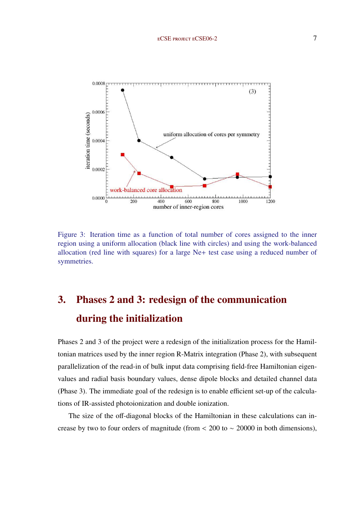<span id="page-6-0"></span>

Figure 3: Iteration time as a function of total number of cores assigned to the inner region using a uniform allocation (black line with circles) and using the work-balanced allocation (red line with squares) for a large Ne+ test case using a reduced number of symmetries.

## 3. Phases 2 and 3: redesign of the communication during the initialization

Phases 2 and 3 of the project were a redesign of the initialization process for the Hamiltonian matrices used by the inner region R-Matrix integration (Phase 2), with subsequent parallelization of the read-in of bulk input data comprising field-free Hamiltonian eigenvalues and radial basis boundary values, dense dipole blocks and detailed channel data (Phase 3). The immediate goal of the redesign is to enable efficient set-up of the calculations of IR-assisted photoionization and double ionization.

The size of the off-diagonal blocks of the Hamiltonian in these calculations can increase by two to four orders of magnitude (from  $\lt$  200 to  $\lt$  20000 in both dimensions),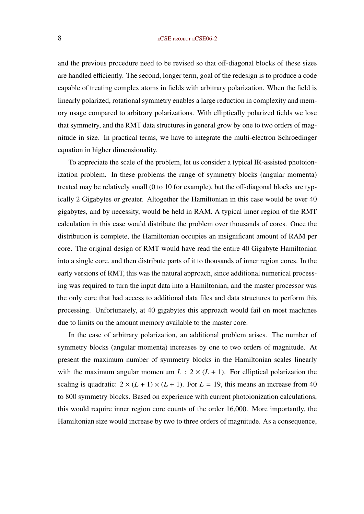#### 8 ECSE PROJECT ECSE06-2

and the previous procedure need to be revised so that off-diagonal blocks of these sizes are handled efficiently. The second, longer term, goal of the redesign is to produce a code capable of treating complex atoms in fields with arbitrary polarization. When the field is linearly polarized, rotational symmetry enables a large reduction in complexity and memory usage compared to arbitrary polarizations. With elliptically polarized fields we lose that symmetry, and the RMT data structures in general grow by one to two orders of magnitude in size. In practical terms, we have to integrate the multi-electron Schroedinger equation in higher dimensionality.

To appreciate the scale of the problem, let us consider a typical IR-assisted photoionization problem. In these problems the range of symmetry blocks (angular momenta) treated may be relatively small (0 to 10 for example), but the off-diagonal blocks are typically 2 Gigabytes or greater. Altogether the Hamiltonian in this case would be over 40 gigabytes, and by necessity, would be held in RAM. A typical inner region of the RMT calculation in this case would distribute the problem over thousands of cores. Once the distribution is complete, the Hamiltonian occupies an insignificant amount of RAM per core. The original design of RMT would have read the entire 40 Gigabyte Hamiltonian into a single core, and then distribute parts of it to thousands of inner region cores. In the early versions of RMT, this was the natural approach, since additional numerical processing was required to turn the input data into a Hamiltonian, and the master processor was the only core that had access to additional data files and data structures to perform this processing. Unfortunately, at 40 gigabytes this approach would fail on most machines due to limits on the amount memory available to the master core.

In the case of arbitrary polarization, an additional problem arises. The number of symmetry blocks (angular momenta) increases by one to two orders of magnitude. At present the maximum number of symmetry blocks in the Hamiltonian scales linearly with the maximum angular momentum  $L: 2 \times (L + 1)$ . For elliptical polarization the scaling is quadratic:  $2 \times (L + 1) \times (L + 1)$ . For  $L = 19$ , this means an increase from 40 to 800 symmetry blocks. Based on experience with current photoionization calculations, this would require inner region core counts of the order 16,000. More importantly, the Hamiltonian size would increase by two to three orders of magnitude. As a consequence,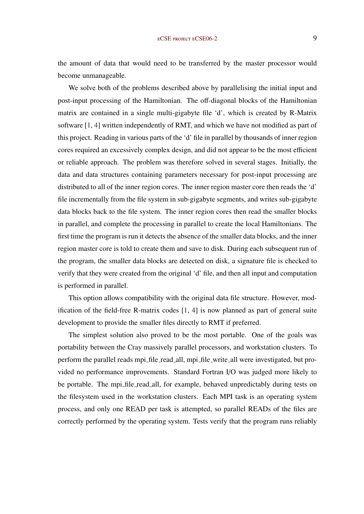the amount of data that would need to be transferred by the master processor would become unmanageable.

We solve both of the problems described above by parallelising the initial input and post-input processing of the Hamiltonian. The off-diagonal blocks of the Hamiltonian matrix are contained in a single multi-gigabyte file 'd', which is created by R-Matrix software [\[1,](#page-10-0) [4\]](#page-10-0) written independently of RMT, and which we have not modified as part of this project. Reading in various parts of the 'd' file in parallel by thousands of inner region cores required an excessively complex design, and did not appear to be the most efficient or reliable approach. The problem was therefore solved in several stages. Initially, the data and data structures containing parameters necessary for post-input processing are distributed to all of the inner region cores. The inner region master core then reads the 'd' file incrementally from the file system in sub-gigabyte segments, and writes sub-gigabyte data blocks back to the file system. The inner region cores then read the smaller blocks in parallel, and complete the processing in parallel to create the local Hamiltonians. The first time the program is run it detects the absence of the smaller data blocks, and the inner region master core is told to create them and save to disk. During each subsequent run of the program, the smaller data blocks are detected on disk, a signature file is checked to verify that they were created from the original 'd' file, and then all input and computation is performed in parallel.

This option allows compatibility with the original data file structure. However, modification of the field-free R-matrix codes [\[1,](#page-10-0) [4\]](#page-10-0) is now planned as part of general suite development to provide the smaller files directly to RMT if preferred.

The simplest solution also proved to be the most portable. One of the goals was portability between the Cray massively parallel processors, and workstation clusters. To perform the parallel reads mpi file read all, mpi file write all were investigated, but provided no performance improvements. Standard Fortran I/O was judged more likely to be portable. The mpi\_file\_read\_all, for example, behaved unpredictably during tests on the filesystem used in the workstation clusters. Each MPI task is an operating system process, and only one READ per task is attempted, so parallel READs of the files are correctly performed by the operating system. Tests verify that the program runs reliably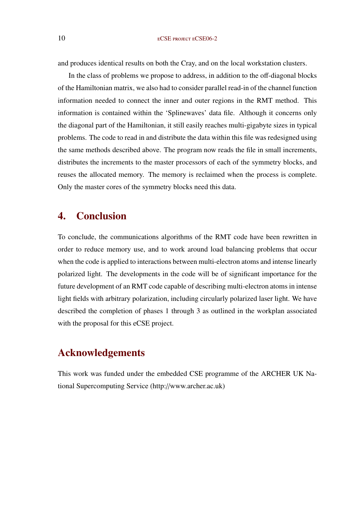and produces identical results on both the Cray, and on the local workstation clusters.

In the class of problems we propose to address, in addition to the off-diagonal blocks of the Hamiltonian matrix, we also had to consider parallel read-in of the channel function information needed to connect the inner and outer regions in the RMT method. This information is contained within the 'Splinewaves' data file. Although it concerns only the diagonal part of the Hamiltonian, it still easily reaches multi-gigabyte sizes in typical problems. The code to read in and distribute the data within this file was redesigned using the same methods described above. The program now reads the file in small increments, distributes the increments to the master processors of each of the symmetry blocks, and reuses the allocated memory. The memory is reclaimed when the process is complete. Only the master cores of the symmetry blocks need this data.

## 4. Conclusion

To conclude, the communications algorithms of the RMT code have been rewritten in order to reduce memory use, and to work around load balancing problems that occur when the code is applied to interactions between multi-electron atoms and intense linearly polarized light. The developments in the code will be of significant importance for the future development of an RMT code capable of describing multi-electron atoms in intense light fields with arbitrary polarization, including circularly polarized laser light. We have described the completion of phases 1 through 3 as outlined in the workplan associated with the proposal for this eCSE project.

## Acknowledgements

This work was funded under the embedded CSE programme of the ARCHER UK National Supercomputing Service (http://www.archer.ac.uk)